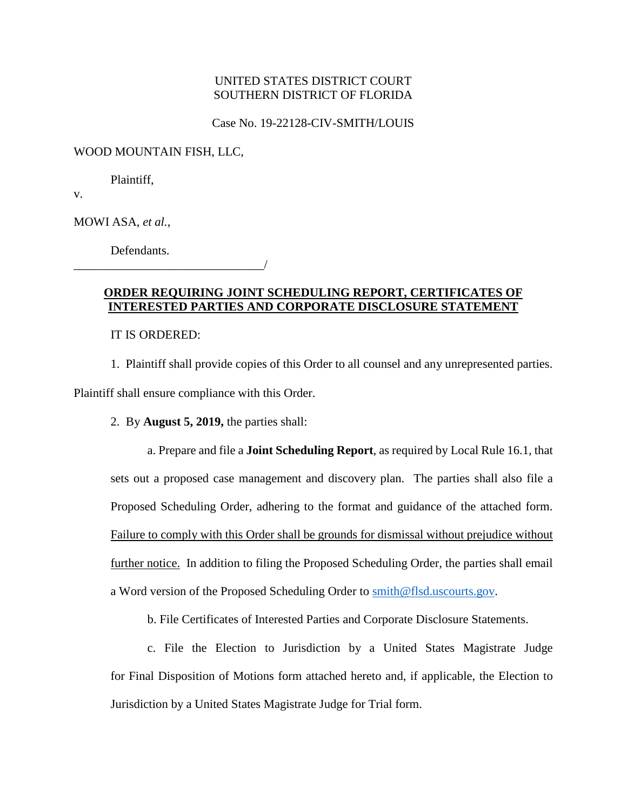Case No. 19-22128-CIV-SMITH/LOUIS

WOOD MOUNTAIN FISH, LLC,

Plaintiff,

v.

MOWI ASA, *et al.*,

Defendants.

#### **ORDER REQUIRING JOINT SCHEDULING REPORT, CERTIFICATES OF INTERESTED PARTIES AND CORPORATE DISCLOSURE STATEMENT**

IT IS ORDERED:

\_\_\_\_\_\_\_\_\_\_\_\_\_\_\_\_\_\_\_\_\_\_\_\_\_\_\_\_\_\_\_/

1. Plaintiff shall provide copies of this Order to all counsel and any unrepresented parties. Plaintiff shall ensure compliance with this Order.

2. By **August 5, 2019,** the parties shall:

a. Prepare and file a **Joint Scheduling Report**, as required by Local Rule 16.1, that sets out a proposed case management and discovery plan. The parties shall also file a Proposed Scheduling Order, adhering to the format and guidance of the attached form. Failure to comply with this Order shall be grounds for dismissal without prejudice without further notice. In addition to filing the Proposed Scheduling Order, the parties shall email a Word version of the Proposed Scheduling Order to [smith@flsd.uscourts.gov.](mailto:smith@flsd.uscourts.gov)

b. File Certificates of Interested Parties and Corporate Disclosure Statements.

c. File the Election to Jurisdiction by a United States Magistrate Judge for Final Disposition of Motions form attached hereto and, if applicable, the Election to Jurisdiction by a United States Magistrate Judge for Trial form.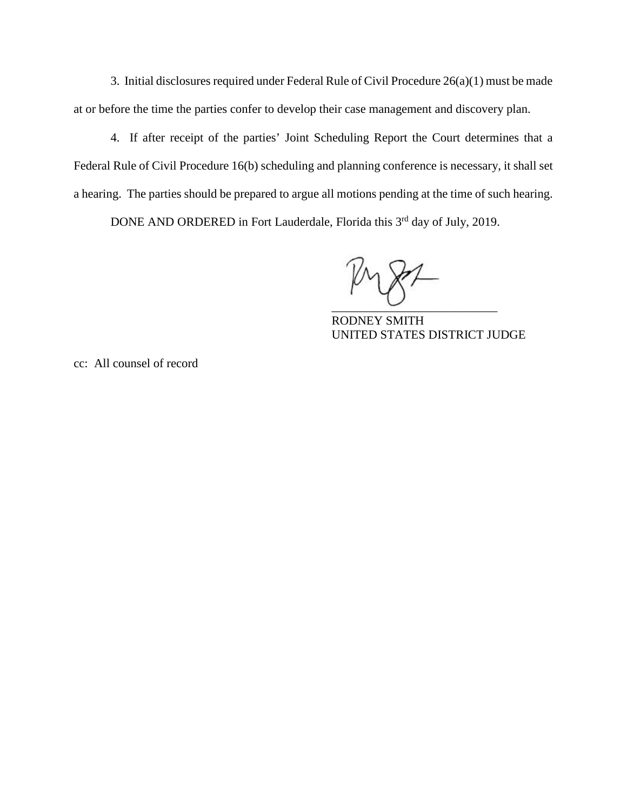3. Initial disclosures required under Federal Rule of Civil Procedure 26(a)(1) must be made at or before the time the parties confer to develop their case management and discovery plan.

4. If after receipt of the parties' Joint Scheduling Report the Court determines that a Federal Rule of Civil Procedure 16(b) scheduling and planning conference is necessary, it shall set a hearing. The parties should be prepared to argue all motions pending at the time of such hearing.

DONE AND ORDERED in Fort Lauderdale, Florida this 3<sup>rd</sup> day of July, 2019.

 $\overline{\phantom{a}}$ 

RODNEY SMITH UNITED STATES DISTRICT JUDGE

cc: All counsel of record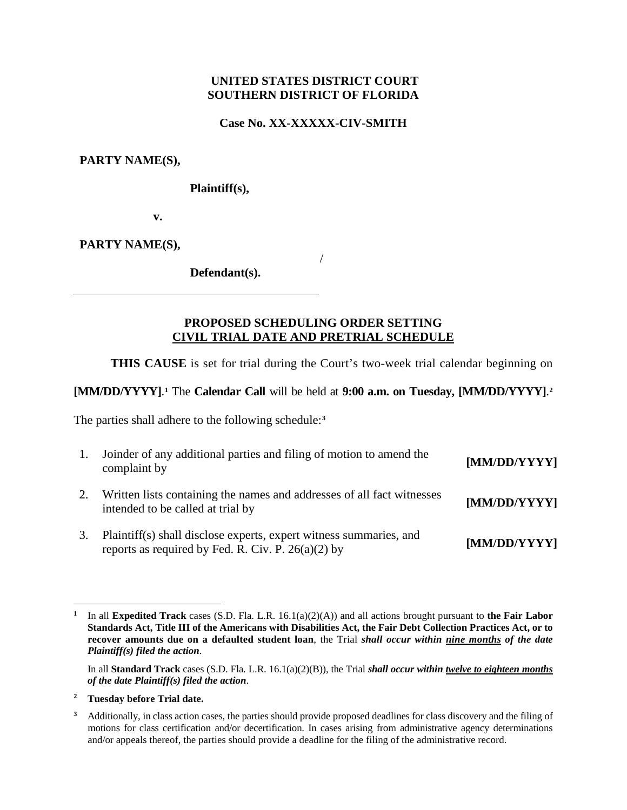**Case No. XX-XXXXX-CIV-SMITH**

**PARTY NAME(S),**

**Plaintiff(s),**

**v.**

**PARTY NAME(S),**

**Defendant(s).**

## **PROPOSED SCHEDULING ORDER SETTING CIVIL TRIAL DATE AND PRETRIAL SCHEDULE**

/

**THIS CAUSE** is set for trial during the Court's two-week trial calendar beginning on

# **[MM/DD/YYYY]**. **[1](#page-2-0)** The **Calendar Call** will be held at **9:00 a.m. on Tuesday, [MM/DD/YYYY]**. **[2](#page-2-1)**

The parties shall adhere to the following schedule:**[3](#page-2-2)**

| 1. | Joinder of any additional parties and filing of motion to amend the<br>complaint by                                        | [MM/DD/YYYY] |
|----|----------------------------------------------------------------------------------------------------------------------------|--------------|
|    | Written lists containing the names and addresses of all fact witnesses<br>intended to be called at trial by                | [MM/DD/YYYY] |
| 3. | Plaintiff(s) shall disclose experts, expert witness summaries, and<br>reports as required by Fed. R. Civ. P. $26(a)(2)$ by | [MM/DD/YYYY] |

<span id="page-2-1"></span>**<sup>2</sup> Tuesday before Trial date.**

 $\overline{\phantom{a}}$ 

<span id="page-2-0"></span>**<sup>1</sup>** In all **Expedited Track** cases (S.D. Fla. L.R. 16.1(a)(2)(A)) and all actions brought pursuant to **the Fair Labor Standards Act, Title III of the Americans with Disabilities Act, the Fair Debt Collection Practices Act, or to recover amounts due on a defaulted student loan**, the Trial *shall occur within nine months of the date Plaintiff(s) filed the action*.

In all **Standard Track** cases (S.D. Fla. L.R. 16.1(a)(2)(B)), the Trial *shall occur within twelve to eighteen months of the date Plaintiff(s) filed the action*.

<span id="page-2-2"></span>**<sup>3</sup>** Additionally, in class action cases, the parties should provide proposed deadlines for class discovery and the filing of motions for class certification and/or decertification. In cases arising from administrative agency determinations and/or appeals thereof, the parties should provide a deadline for the filing of the administrative record.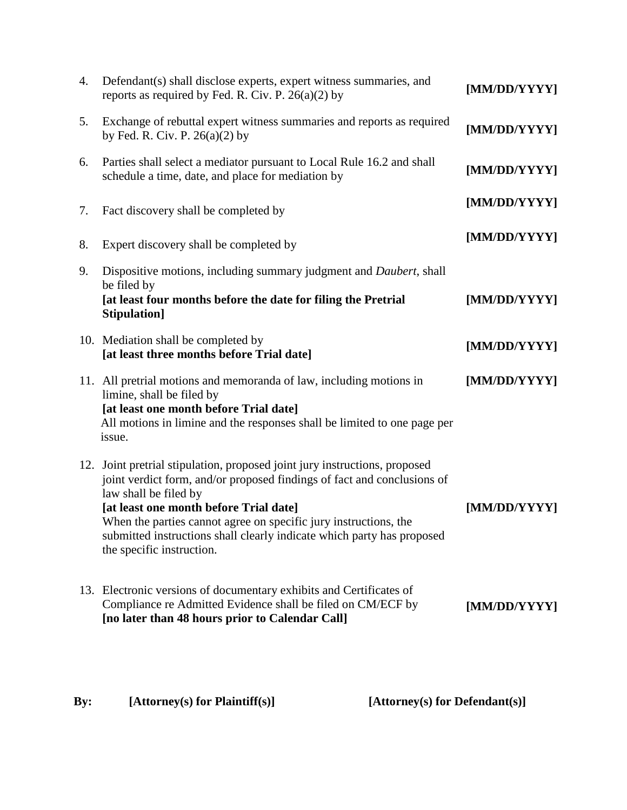| 4. | Defendant(s) shall disclose experts, expert witness summaries, and<br>reports as required by Fed. R. Civ. P. $26(a)(2)$ by                                                                                                                                                                                                                                                                          | [MM/DD/YYYY] |
|----|-----------------------------------------------------------------------------------------------------------------------------------------------------------------------------------------------------------------------------------------------------------------------------------------------------------------------------------------------------------------------------------------------------|--------------|
| 5. | Exchange of rebuttal expert witness summaries and reports as required<br>by Fed. R. Civ. P. $26(a)(2)$ by                                                                                                                                                                                                                                                                                           | [MM/DD/YYYY] |
| 6. | Parties shall select a mediator pursuant to Local Rule 16.2 and shall<br>schedule a time, date, and place for mediation by                                                                                                                                                                                                                                                                          | [MM/DD/YYYY] |
| 7. | Fact discovery shall be completed by                                                                                                                                                                                                                                                                                                                                                                | [MM/DD/YYYY] |
| 8. | Expert discovery shall be completed by                                                                                                                                                                                                                                                                                                                                                              | [MM/DD/YYYY] |
| 9. | Dispositive motions, including summary judgment and <i>Daubert</i> , shall<br>be filed by<br>[at least four months before the date for filing the Pretrial<br>Stipulation]                                                                                                                                                                                                                          | [MM/DD/YYYY] |
|    | 10. Mediation shall be completed by<br>[at least three months before Trial date]                                                                                                                                                                                                                                                                                                                    | [MM/DD/YYYY] |
|    | 11. All pretrial motions and memoranda of law, including motions in<br>limine, shall be filed by<br>[at least one month before Trial date]<br>All motions in limine and the responses shall be limited to one page per<br>issue.                                                                                                                                                                    | [MM/DD/YYYY] |
|    | 12. Joint pretrial stipulation, proposed joint jury instructions, proposed<br>joint verdict form, and/or proposed findings of fact and conclusions of<br>law shall be filed by<br>[at least one month before Trial date]<br>When the parties cannot agree on specific jury instructions, the<br>submitted instructions shall clearly indicate which party has proposed<br>the specific instruction. | [MM/DD/YYYY] |
|    | 13. Electronic versions of documentary exhibits and Certificates of<br>Compliance re Admitted Evidence shall be filed on CM/ECF by<br>[no later than 48 hours prior to Calendar Call]                                                                                                                                                                                                               | [MM/DD/YYYY] |

| By: | [Attorney(s) for Plaintiff(s)] | [Attorney(s) for Defendant(s)] |
|-----|--------------------------------|--------------------------------|
|     |                                |                                |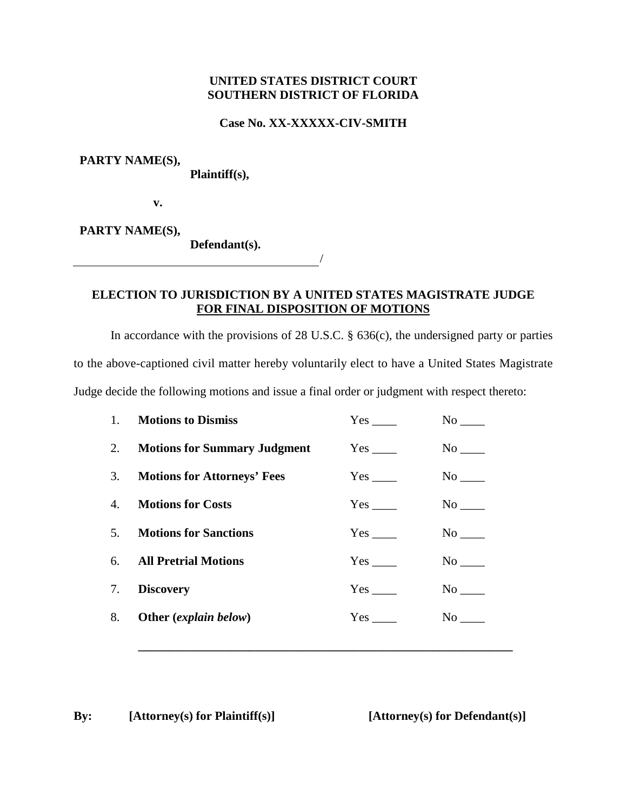### **Case No. XX-XXXXX-CIV-SMITH**

**PARTY NAME(S),**

**Plaintiff(s),**

**v.**

**PARTY NAME(S),**

**Defendant(s).**

# **ELECTION TO JURISDICTION BY A UNITED STATES MAGISTRATE JUDGE FOR FINAL DISPOSITION OF MOTIONS**

/

In accordance with the provisions of 28 U.S.C. § 636(c), the undersigned party or parties

to the above-captioned civil matter hereby voluntarily elect to have a United States Magistrate

Judge decide the following motions and issue a final order or judgment with respect thereto:

| 1 <sub>1</sub> | <b>Motions to Dismiss</b>       | Yes                    | No no                 |
|----------------|---------------------------------|------------------------|-----------------------|
|                | 2. Motions for Summary Judgment | $Yes$ <sub>____</sub>  | No                    |
|                | 3. Motions for Attorneys' Fees  | $Yes$ <sub>____</sub>  | $No$ <sub>_____</sub> |
| 4.             | <b>Motions for Costs</b>        | $Yes$ <sub>_____</sub> | $No$ <sub>____</sub>  |
| 5.             | <b>Motions for Sanctions</b>    | $Yes$ <sub>____</sub>  | $No$ <sub>____</sub>  |
|                | 6. All Pretrial Motions         | $Yes$ <sub>_____</sub> |                       |
| 7.             | <b>Discovery</b>                |                        |                       |
| 8.             | Other (explain below)           |                        | No                    |
|                |                                 |                        |                       |

**\_\_\_\_\_\_\_\_\_\_\_\_\_\_\_\_\_\_\_\_\_\_\_\_\_\_\_\_\_\_\_\_\_\_\_\_\_\_\_\_\_\_\_\_\_\_\_\_\_\_\_\_\_\_\_\_\_\_\_\_\_**

**By: [Attorney(s) for Plaintiff(s)] [Attorney(s) for Defendant(s)]**